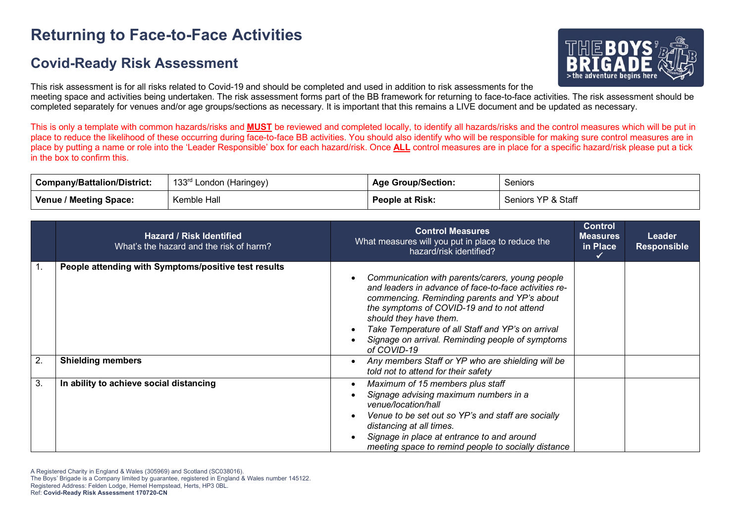# **Returning to Face-to-Face Activities**

### **Covid-Ready Risk Assessment**



This risk assessment is for all risks related to Covid-19 and should be completed and used in addition to risk assessments for the meeting space and activities being undertaken. The risk assessment forms part of the BB framework for returning to face-to-face activities. The risk assessment should be completed separately for venues and/or age groups/sections as necessary. It is important that this remains a LIVE document and be updated as necessary.

This is only a template with common hazards/risks and **MUST** be reviewed and completed locally, to identify all hazards/risks and the control measures which will be put in place to reduce the likelihood of these occurring during face-to-face BB activities. You should also identify who will be responsible for making sure control measures are in place by putting a name or role into the 'Leader Responsible' box for each hazard/risk. Once **ALL** control measures are in place for a specific hazard/risk please put a tick in the box to confirm this.

| <b>Company/Battalion/District:</b> | 133 <sup>rd</sup> London (Haringey) | <b>Age Group/Section:</b> | Seniors            |
|------------------------------------|-------------------------------------|---------------------------|--------------------|
| Venue / Meeting Space:             | Kemble Hall                         | <b>People at Risk:</b>    | Seniors YP & Staff |

|    | <b>Hazard / Risk Identified</b><br>What's the hazard and the risk of harm? | <b>Control Measures</b><br>What measures will you put in place to reduce the<br>hazard/risk identified?                                                                                                                                                                                                                                                  | <b>Control</b><br><b>Measures</b><br>in Place<br>✓ | Leader<br><b>Responsible</b> |
|----|----------------------------------------------------------------------------|----------------------------------------------------------------------------------------------------------------------------------------------------------------------------------------------------------------------------------------------------------------------------------------------------------------------------------------------------------|----------------------------------------------------|------------------------------|
| 1. | People attending with Symptoms/positive test results                       | Communication with parents/carers, young people<br>and leaders in advance of face-to-face activities re-<br>commencing. Reminding parents and YP's about<br>the symptoms of COVID-19 and to not attend<br>should they have them.<br>Take Temperature of all Staff and YP's on arrival<br>Signage on arrival. Reminding people of symptoms<br>of COVID-19 |                                                    |                              |
| 2. | <b>Shielding members</b>                                                   | Any members Staff or YP who are shielding will be<br>told not to attend for their safety                                                                                                                                                                                                                                                                 |                                                    |                              |
| 3. | In ability to achieve social distancing                                    | Maximum of 15 members plus staff<br>Signage advising maximum numbers in a<br>venue/location/hall<br>Venue to be set out so YP's and staff are socially<br>distancing at all times.<br>Signage in place at entrance to and around<br>meeting space to remind people to socially distance                                                                  |                                                    |                              |

A Registered Charity in England & Wales (305969) and Scotland (SC038016).

The Boys' Brigade is a Company limited by guarantee, registered in England & Wales number 145122.

Registered Address: Felden Lodge, Hemel Hempstead, Herts, HP3 0BL.

Ref: **Covid-Ready Risk Assessment 170720-CN**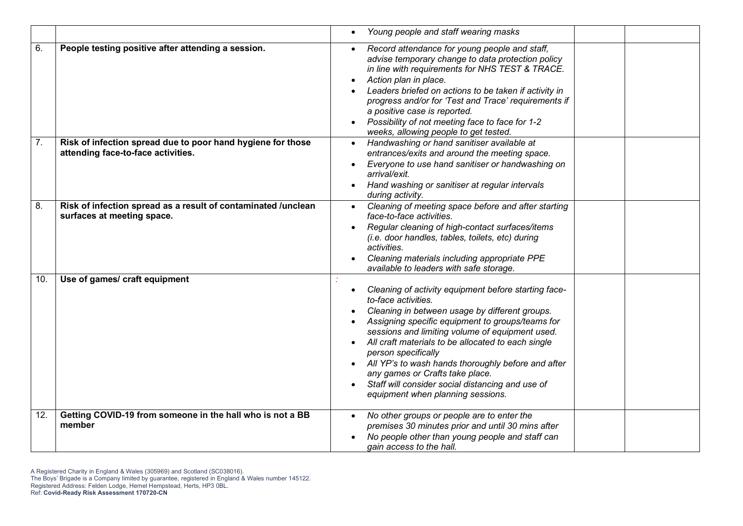|     |                                                                                                   | Young people and staff wearing masks                                                                                                                                                                                                                                                                                                                                                                                                                                                                |
|-----|---------------------------------------------------------------------------------------------------|-----------------------------------------------------------------------------------------------------------------------------------------------------------------------------------------------------------------------------------------------------------------------------------------------------------------------------------------------------------------------------------------------------------------------------------------------------------------------------------------------------|
| 6.  | People testing positive after attending a session.                                                | Record attendance for young people and staff,<br>advise temporary change to data protection policy<br>in line with requirements for NHS TEST & TRACE.<br>Action plan in place.<br>Leaders briefed on actions to be taken if activity in<br>progress and/or for 'Test and Trace' requirements if<br>a positive case is reported.<br>Possibility of not meeting face to face for 1-2<br>weeks, allowing people to get tested.                                                                         |
| 7.  | Risk of infection spread due to poor hand hygiene for those<br>attending face-to-face activities. | Handwashing or hand sanitiser available at<br>entrances/exits and around the meeting space.<br>Everyone to use hand sanitiser or handwashing on<br>arrival/exit.<br>Hand washing or sanitiser at regular intervals<br>during activity.                                                                                                                                                                                                                                                              |
| 8.  | Risk of infection spread as a result of contaminated /unclean<br>surfaces at meeting space.       | Cleaning of meeting space before and after starting<br>face-to-face activities.<br>Regular cleaning of high-contact surfaces/items<br>(i.e. door handles, tables, toilets, etc) during<br>activities.<br>Cleaning materials including appropriate PPE<br>available to leaders with safe storage.                                                                                                                                                                                                    |
| 10. | Use of games/ craft equipment                                                                     | Cleaning of activity equipment before starting face-<br>to-face activities.<br>Cleaning in between usage by different groups.<br>Assigning specific equipment to groups/teams for<br>sessions and limiting volume of equipment used.<br>All craft materials to be allocated to each single<br>person specifically<br>All YP's to wash hands thoroughly before and after<br>any games or Crafts take place.<br>Staff will consider social distancing and use of<br>equipment when planning sessions. |
| 12. | Getting COVID-19 from someone in the hall who is not a BB<br>member                               | No other groups or people are to enter the<br>premises 30 minutes prior and until 30 mins after<br>No people other than young people and staff can<br>gain access to the hall.                                                                                                                                                                                                                                                                                                                      |

A Registered Charity in England & Wales (305969) and Scotland (SC038016).

The Boys' Brigade is a Company limited by guarantee, registered in England & Wales number 145122. Registered Address: Felden Lodge, Hemel Hempstead, Herts, HP3 0BL.

Ref: **Covid-Ready Risk Assessment 170720-CN**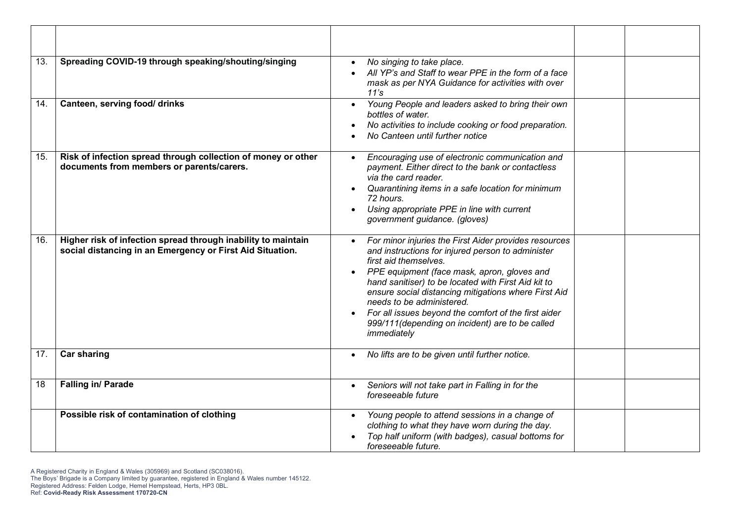| 13. | Spreading COVID-19 through speaking/shouting/singing                                                                       | No singing to take place.<br>All YP's and Staff to wear PPE in the form of a face<br>mask as per NYA Guidance for activities with over<br>11's                                                                                                                                                                                                                                                                                                            |  |
|-----|----------------------------------------------------------------------------------------------------------------------------|-----------------------------------------------------------------------------------------------------------------------------------------------------------------------------------------------------------------------------------------------------------------------------------------------------------------------------------------------------------------------------------------------------------------------------------------------------------|--|
| 14. | Canteen, serving food/ drinks                                                                                              | Young People and leaders asked to bring their own<br>$\bullet$<br>bottles of water.<br>No activities to include cooking or food preparation.<br>No Canteen until further notice                                                                                                                                                                                                                                                                           |  |
| 15. | Risk of infection spread through collection of money or other<br>documents from members or parents/carers.                 | Encouraging use of electronic communication and<br>payment. Either direct to the bank or contactless<br>via the card reader.<br>Quarantining items in a safe location for minimum<br>72 hours.<br>Using appropriate PPE in line with current<br>government guidance. (gloves)                                                                                                                                                                             |  |
| 16. | Higher risk of infection spread through inability to maintain<br>social distancing in an Emergency or First Aid Situation. | For minor injuries the First Aider provides resources<br>and instructions for injured person to administer<br>first aid themselves.<br>PPE equipment (face mask, apron, gloves and<br>hand sanitiser) to be located with First Aid kit to<br>ensure social distancing mitigations where First Aid<br>needs to be administered.<br>For all issues beyond the comfort of the first aider<br>999/111 (depending on incident) are to be called<br>immediately |  |
| 17. | <b>Car sharing</b>                                                                                                         | No lifts are to be given until further notice.                                                                                                                                                                                                                                                                                                                                                                                                            |  |
| 18  | Falling in/ Parade                                                                                                         | Seniors will not take part in Falling in for the<br>foreseeable future                                                                                                                                                                                                                                                                                                                                                                                    |  |
|     | Possible risk of contamination of clothing                                                                                 | Young people to attend sessions in a change of<br>clothing to what they have worn during the day.<br>Top half uniform (with badges), casual bottoms for<br>foreseeable future.                                                                                                                                                                                                                                                                            |  |

A Registered Charity in England & Wales (305969) and Scotland (SC038016).

Ref: **Covid-Ready Risk Assessment 170720-CN**

The Boys' Brigade is a Company limited by guarantee, registered in England & Wales number 145122. Registered Address: Felden Lodge, Hemel Hempstead, Herts, HP3 0BL.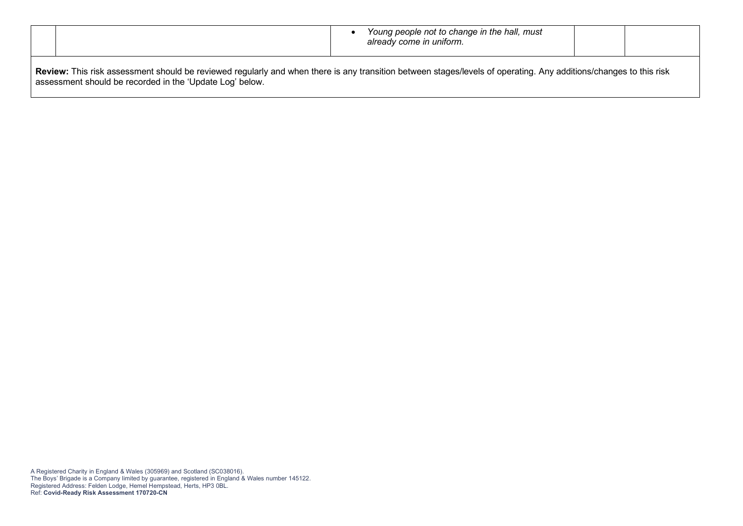|                                                                                                                                                                                                                               |  | Young people not to change in the hall, must<br>already come in uniform. |  |  |
|-------------------------------------------------------------------------------------------------------------------------------------------------------------------------------------------------------------------------------|--|--------------------------------------------------------------------------|--|--|
| Review: This risk assessment should be reviewed regularly and when there is any transition between stages/levels of operating. Any additions/changes to this risk<br>assessment should be recorded in the 'Update Log' below. |  |                                                                          |  |  |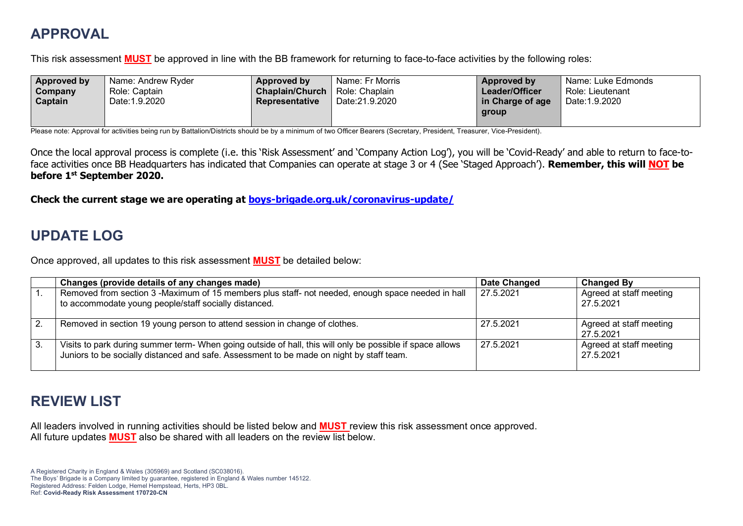## **APPROVAL**

This risk assessment **MUST** be approved in line with the BB framework for returning to face-to-face activities by the following roles:

| Approved by | Name: Andrew Ryder | Approved by            | Name: Fr Morris | Approved by      | Name: Luke Edmonds |
|-------------|--------------------|------------------------|-----------------|------------------|--------------------|
| Company     | Role: Captain      | <b>Chaplain/Church</b> | Role: Chaplain  | Leader/Officer   | Role: Lieutenant   |
| Captain     | Date: 1.9.2020     | Representative         | Date:21.9.2020  | in Charge of age | Date: 1.9.2020     |
|             |                    |                        |                 | group            |                    |
|             |                    |                        |                 |                  |                    |

Please note: Approval for activities being run by Battalion/Districts should be by a minimum of two Officer Bearers (Secretary, President, Treasurer, Vice-President).

Once the local approval process is complete (i.e. this 'Risk Assessment' and 'Company Action Log'), you will be 'Covid-Ready' and able to return to face-toface activities once BB Headquarters has indicated that Companies can operate at stage 3 or 4 (See 'Staged Approach'). **Remember, this will NOT be before 1st September 2020.**

**Check the current stage we are operating at boys-brigade.org.uk/coronavirus-update/**

## **UPDATE LOG**

Once approved, all updates to this risk assessment **MUST** be detailed below:

|     | Changes (provide details of any changes made)                                                                                                                                                         | <b>Date Changed</b> | <b>Changed By</b>                    |
|-----|-------------------------------------------------------------------------------------------------------------------------------------------------------------------------------------------------------|---------------------|--------------------------------------|
|     | Removed from section 3 -Maximum of 15 members plus staff- not needed, enough space needed in hall<br>to accommodate young people/staff socially distanced.                                            | 27.5.2021           | Agreed at staff meeting<br>27.5.2021 |
| 2.  | Removed in section 19 young person to attend session in change of clothes.                                                                                                                            | 27.5.2021           | Agreed at staff meeting<br>27.5.2021 |
| -3. | Visits to park during summer term- When going outside of hall, this will only be possible if space allows<br>Juniors to be socially distanced and safe. Assessment to be made on night by staff team. | 27.5.2021           | Agreed at staff meeting<br>27.5.2021 |

### **REVIEW LIST**

All leaders involved in running activities should be listed below and **MUST** review this risk assessment once approved. All future updates **MUST** also be shared with all leaders on the review list below.

A Registered Charity in England & Wales (305969) and Scotland (SC038016). The Boys' Brigade is a Company limited by guarantee, registered in England & Wales number 145122. Registered Address: Felden Lodge, Hemel Hempstead, Herts, HP3 0BL. Ref: **Covid-Ready Risk Assessment 170720-CN**